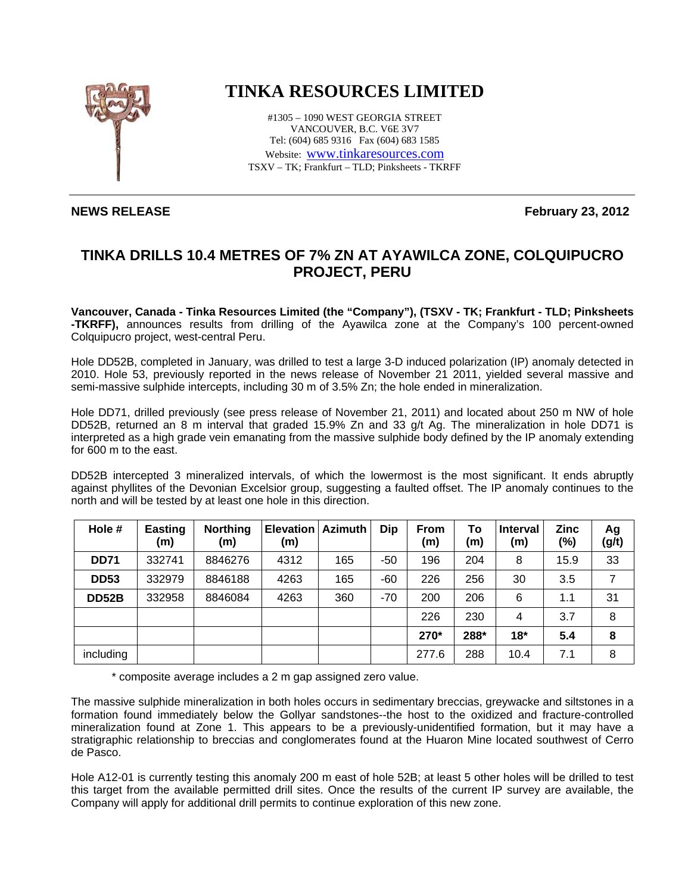

## **TINKA RESOURCES LIMITED**

#1305 – 1090 WEST GEORGIA STREET VANCOUVER, B.C. V6E 3V7 Tel: (604) 685 9316 Fax (604) 683 1585 Website: www.tinkaresources.com TSXV – TK; Frankfurt – TLD; Pinksheets - TKRFF

**NEWS RELEASE February 23, 2012** 

## **TINKA DRILLS 10.4 METRES OF 7% ZN AT AYAWILCA ZONE, COLQUIPUCRO PROJECT, PERU**

**Vancouver, Canada - Tinka Resources Limited (the "Company"), (TSXV - TK; Frankfurt - TLD; Pinksheets -TKRFF),** announces results from drilling of the Ayawilca zone at the Company's 100 percent-owned Colquipucro project, west-central Peru.

Hole DD52B, completed in January, was drilled to test a large 3-D induced polarization (IP) anomaly detected in 2010. Hole 53, previously reported in the news release of November 21 2011, yielded several massive and semi-massive sulphide intercepts, including 30 m of 3.5% Zn; the hole ended in mineralization.

Hole DD71, drilled previously (see press release of November 21, 2011) and located about 250 m NW of hole DD52B, returned an 8 m interval that graded 15.9% Zn and 33 g/t Ag. The mineralization in hole DD71 is interpreted as a high grade vein emanating from the massive sulphide body defined by the IP anomaly extending for 600 m to the east.

DD52B intercepted 3 mineralized intervals, of which the lowermost is the most significant. It ends abruptly against phyllites of the Devonian Excelsior group, suggesting a faulted offset. The IP anomaly continues to the north and will be tested by at least one hole in this direction.

| Hole #       | <b>Easting</b><br>(m) | <b>Northing</b><br>(m) | <b>Elevation</b><br>(m) | <b>Azimuth</b> | Dip   | <b>From</b><br>(m) | To<br>(m) | <b>Interval</b><br>(m) | Zinc<br>(%) | Ag<br>(g/t) |
|--------------|-----------------------|------------------------|-------------------------|----------------|-------|--------------------|-----------|------------------------|-------------|-------------|
| <b>DD71</b>  | 332741                | 8846276                | 4312                    | 165            | -50   | 196                | 204       | 8                      | 15.9        | 33          |
| <b>DD53</b>  | 332979                | 8846188                | 4263                    | 165            | $-60$ | 226                | 256       | 30                     | 3.5         | 7           |
| <b>DD52B</b> | 332958                | 8846084                | 4263                    | 360            | $-70$ | 200                | 206       | 6                      | 1.1         | 31          |
|              |                       |                        |                         |                |       | 226                | 230       | 4                      | 3.7         | 8           |
|              |                       |                        |                         |                |       | 270*               | 288*      | $18*$                  | 5.4         | 8           |
| including    |                       |                        |                         |                |       | 277.6              | 288       | 10.4                   | 7.1         | 8           |

\* composite average includes a 2 m gap assigned zero value.

The massive sulphide mineralization in both holes occurs in sedimentary breccias, greywacke and siltstones in a formation found immediately below the Gollyar sandstones--the host to the oxidized and fracture-controlled mineralization found at Zone 1. This appears to be a previously-unidentified formation, but it may have a stratigraphic relationship to breccias and conglomerates found at the Huaron Mine located southwest of Cerro de Pasco.

Hole A12-01 is currently testing this anomaly 200 m east of hole 52B; at least 5 other holes will be drilled to test this target from the available permitted drill sites. Once the results of the current IP survey are available, the Company will apply for additional drill permits to continue exploration of this new zone.